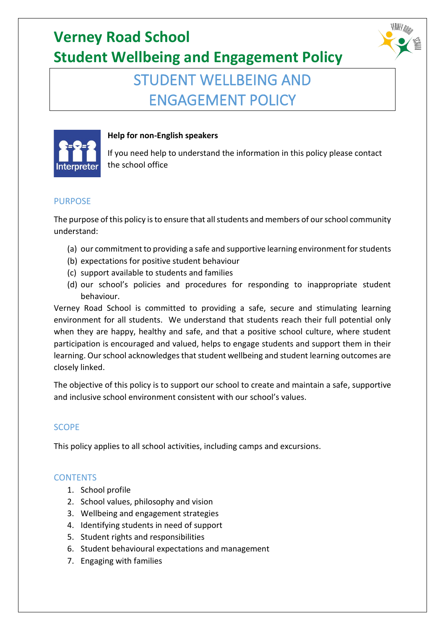## STUDENT WELLBEING AND ENGAGEMENT POLICY



#### **Help for non-English speakers**

If you need help to understand the information in this policy please contact the school office

#### PURPOSE

The purpose of this policy is to ensure that all students and members of our school community understand:

- (a) our commitment to providing a safe and supportive learning environment for students
- (b) expectations for positive student behaviour
- (c) support available to students and families
- (d) our school's policies and procedures for responding to inappropriate student behaviour.

Verney Road School is committed to providing a safe, secure and stimulating learning environment for all students. We understand that students reach their full potential only when they are happy, healthy and safe, and that a positive school culture, where student participation is encouraged and valued, helps to engage students and support them in their learning. Our school acknowledges that student wellbeing and student learning outcomes are closely linked.

The objective of this policy is to support our school to create and maintain a safe, supportive and inclusive school environment consistent with our school's values.

### SCOPE

This policy applies to all school activities, including camps and excursions.

### **CONTENTS**

- 1. School profile
- 2. School values, philosophy and vision
- 3. Wellbeing and engagement strategies
- 4. Identifying students in need of support
- 5. Student rights and responsibilities
- 6. Student behavioural expectations and management
- 7. Engaging with families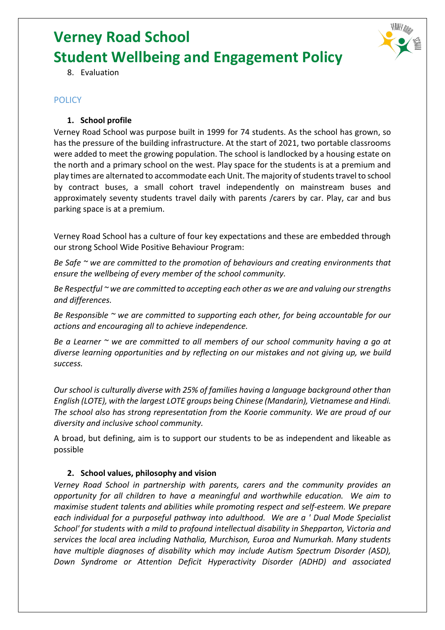

8. Evaluation

#### **POLICY**

#### **1. School profile**

Verney Road School was purpose built in 1999 for 74 students. As the school has grown, so has the pressure of the building infrastructure. At the start of 2021, two portable classrooms were added to meet the growing population. The school is landlocked by a housing estate on the north and a primary school on the west. Play space for the students is at a premium and play times are alternated to accommodate each Unit. The majority of students travel to school by contract buses, a small cohort travel independently on mainstream buses and approximately seventy students travel daily with parents /carers by car. Play, car and bus parking space is at a premium.

Verney Road School has a culture of four key expectations and these are embedded through our strong School Wide Positive Behaviour Program:

*Be Safe ~ we are committed to the promotion of behaviours and creating environments that ensure the wellbeing of every member of the school community.*

*Be Respectful ~ we are committed to accepting each other as we are and valuing our strengths and differences.*

*Be Responsible ~ we are committed to supporting each other, for being accountable for our actions and encouraging all to achieve independence.*

*Be a Learner ~ we are committed to all members of our school community having a go at diverse learning opportunities and by reflecting on our mistakes and not giving up, we build success.*

*Our school is culturally diverse with 25% of families having a language background other than English (LOTE), with the largest LOTE groups being Chinese (Mandarin), Vietnamese and Hindi. The school also has strong representation from the Koorie community. We are proud of our diversity and inclusive school community.*

A broad, but defining, aim is to support our students to be as independent and likeable as possible

#### **2. School values, philosophy and vision**

*Verney Road School in partnership with parents, carers and the community provides an opportunity for all children to have a meaningful and worthwhile education. We aim to maximise student talents and abilities while promoting respect and self-esteem. We prepare each individual for a purposeful pathway into adulthood. We are a ' Dual Mode Specialist School' for students with a mild to profound intellectual disability in Shepparton, Victoria and services the local area including Nathalia, Murchison, Euroa and Numurkah. Many students have multiple diagnoses of disability which may include Autism Spectrum Disorder (ASD), Down Syndrome or Attention Deficit Hyperactivity Disorder (ADHD) and associated*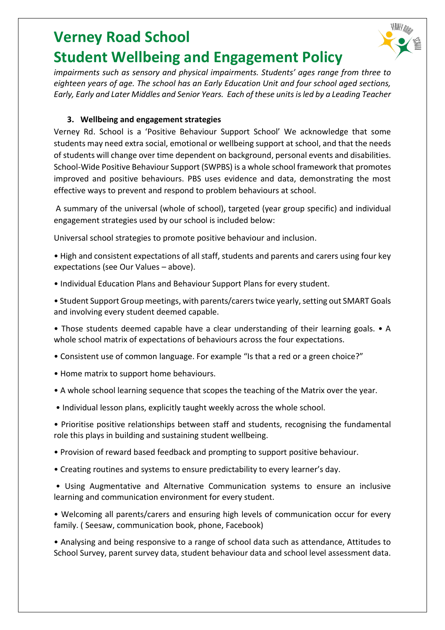

*impairments such as sensory and physical impairments. Students' ages range from three to eighteen years of age. The school has an Early Education Unit and four school aged sections, Early, Early and Later Middles and Senior Years. Each of these units is led by a Leading Teacher*

#### **3. Wellbeing and engagement strategies**

Verney Rd. School is a 'Positive Behaviour Support School' We acknowledge that some students may need extra social, emotional or wellbeing support at school, and that the needs of students will change over time dependent on background, personal events and disabilities. School-Wide Positive Behaviour Support (SWPBS) is a whole school framework that promotes improved and positive behaviours. PBS uses evidence and data, demonstrating the most effective ways to prevent and respond to problem behaviours at school.

A summary of the universal (whole of school), targeted (year group specific) and individual engagement strategies used by our school is included below:

Universal school strategies to promote positive behaviour and inclusion.

• High and consistent expectations of all staff, students and parents and carers using four key expectations (see Our Values – above).

- Individual Education Plans and Behaviour Support Plans for every student.
- Student Support Group meetings, with parents/carers twice yearly, setting out SMART Goals and involving every student deemed capable.
- Those students deemed capable have a clear understanding of their learning goals. A whole school matrix of expectations of behaviours across the four expectations.
- Consistent use of common language. For example "Is that a red or a green choice?"
- Home matrix to support home behaviours.
- A whole school learning sequence that scopes the teaching of the Matrix over the year.
- Individual lesson plans, explicitly taught weekly across the whole school.
- Prioritise positive relationships between staff and students, recognising the fundamental role this plays in building and sustaining student wellbeing.
- Provision of reward based feedback and prompting to support positive behaviour.
- Creating routines and systems to ensure predictability to every learner's day.

• Using Augmentative and Alternative Communication systems to ensure an inclusive learning and communication environment for every student.

• Welcoming all parents/carers and ensuring high levels of communication occur for every family. ( Seesaw, communication book, phone, Facebook)

• Analysing and being responsive to a range of school data such as attendance, Attitudes to School Survey, parent survey data, student behaviour data and school level assessment data.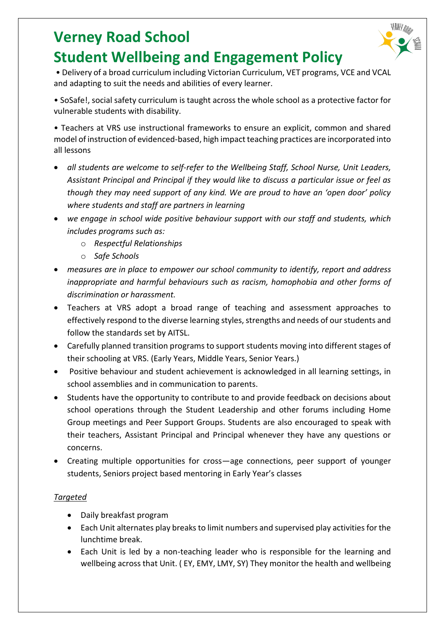

• Delivery of a broad curriculum including Victorian Curriculum, VET programs, VCE and VCAL and adapting to suit the needs and abilities of every learner.

• SoSafe!, social safety curriculum is taught across the whole school as a protective factor for vulnerable students with disability.

• Teachers at VRS use instructional frameworks to ensure an explicit, common and shared model of instruction of evidenced-based, high impact teaching practices are incorporated into all lessons

- *all students are welcome to self-refer to the Wellbeing Staff, School Nurse, Unit Leaders, Assistant Principal and Principal if they would like to discuss a particular issue or feel as though they may need support of any kind. We are proud to have an 'open door' policy where students and staff are partners in learning*
- *we engage in school wide positive behaviour support with our staff and students, which includes programs such as:*
	- o *Respectful Relationships*
	- o *Safe Schools*
- *measures are in place to empower our school community to identify, report and address inappropriate and harmful behaviours such as racism, homophobia and other forms of discrimination or harassment.*
- Teachers at VRS adopt a broad range of teaching and assessment approaches to effectively respond to the diverse learning styles, strengths and needs of our students and follow the standards set by AITSL.
- Carefully planned transition programs to support students moving into different stages of their schooling at VRS. (Early Years, Middle Years, Senior Years.)
- Positive behaviour and student achievement is acknowledged in all learning settings, in school assemblies and in communication to parents.
- Students have the opportunity to contribute to and provide feedback on decisions about school operations through the Student Leadership and other forums including Home Group meetings and Peer Support Groups. Students are also encouraged to speak with their teachers, Assistant Principal and Principal whenever they have any questions or concerns.
- Creating multiple opportunities for cross—age connections, peer support of younger students, Seniors project based mentoring in Early Year's classes

#### *Targeted*

- Daily breakfast program
- Each Unit alternates play breaks to limit numbers and supervised play activities for the lunchtime break.
- Each Unit is led by a non-teaching leader who is responsible for the learning and wellbeing across that Unit. ( EY, EMY, LMY, SY) They monitor the health and wellbeing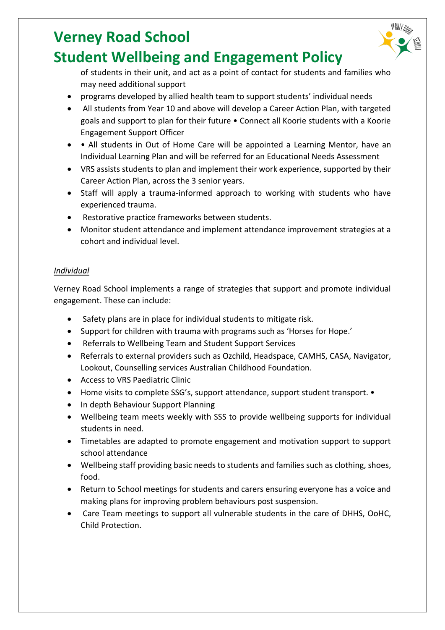

- programs developed by allied health team to support students' individual needs
- All students from Year 10 and above will develop a Career Action Plan, with targeted goals and support to plan for their future • Connect all Koorie students with a Koorie Engagement Support Officer
- • All students in Out of Home Care will be appointed a Learning Mentor, have an Individual Learning Plan and will be referred for an Educational Needs Assessment
- VRS assists students to plan and implement their work experience, supported by their Career Action Plan, across the 3 senior years.
- Staff will apply a trauma-informed approach to working with students who have experienced trauma.
- Restorative practice frameworks between students.
- Monitor student attendance and implement attendance improvement strategies at a cohort and individual level.

#### *Individual*

Verney Road School implements a range of strategies that support and promote individual engagement. These can include:

- Safety plans are in place for individual students to mitigate risk.
- Support for children with trauma with programs such as 'Horses for Hope.'
- Referrals to Wellbeing Team and Student Support Services
- Referrals to external providers such as Ozchild, Headspace, CAMHS, CASA, Navigator, Lookout, Counselling services Australian Childhood Foundation.
- Access to VRS Paediatric Clinic
- Home visits to complete SSG's, support attendance, support student transport. •
- In depth Behaviour Support Planning
- Wellbeing team meets weekly with SSS to provide wellbeing supports for individual students in need.
- Timetables are adapted to promote engagement and motivation support to support school attendance
- Wellbeing staff providing basic needs to students and families such as clothing, shoes, food.
- Return to School meetings for students and carers ensuring everyone has a voice and making plans for improving problem behaviours post suspension.
- Care Team meetings to support all vulnerable students in the care of DHHS, OoHC, Child Protection.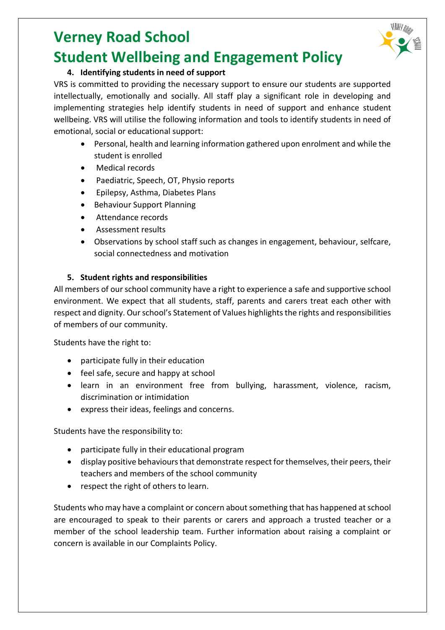#### **4. Identifying students in need of support**

VRS is committed to providing the necessary support to ensure our students are supported intellectually, emotionally and socially. All staff play a significant role in developing and implementing strategies help identify students in need of support and enhance student wellbeing. VRS will utilise the following information and tools to identify students in need of emotional, social or educational support:

- Personal, health and learning information gathered upon enrolment and while the student is enrolled
- Medical records
- Paediatric, Speech, OT, Physio reports
- Epilepsy, Asthma, Diabetes Plans
- Behaviour Support Planning
- Attendance records
- Assessment results
- Observations by school staff such as changes in engagement, behaviour, selfcare, social connectedness and motivation

#### **5. Student rights and responsibilities**

All members of our school community have a right to experience a safe and supportive school environment. We expect that all students, staff, parents and carers treat each other with respect and dignity. Our school's Statement of Values highlights the rights and responsibilities of members of our community.

Students have the right to:

- participate fully in their education
- feel safe, secure and happy at school
- learn in an environment free from bullying, harassment, violence, racism, discrimination or intimidation
- express their ideas, feelings and concerns.

Students have the responsibility to:

- participate fully in their educational program
- display positive behaviours that demonstrate respect for themselves, their peers, their teachers and members of the school community
- respect the right of others to learn.

Students who may have a complaint or concern about something that has happened at school are encouraged to speak to their parents or carers and approach a trusted teacher or a member of the school leadership team. Further information about raising a complaint or concern is available in our Complaints Policy.

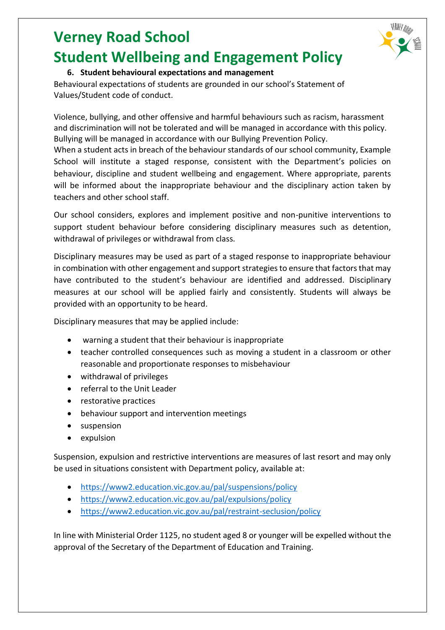

### **6. Student behavioural expectations and management**

Behavioural expectations of students are grounded in our school's Statement of Values/Student code of conduct.

Violence, bullying, and other offensive and harmful behaviours such as racism, harassment and discrimination will not be tolerated and will be managed in accordance with this policy. Bullying will be managed in accordance with our Bullying Prevention Policy.

When a student acts in breach of the behaviour standards of our school community, Example School will institute a staged response, consistent with the Department's policies on behaviour, discipline and student wellbeing and engagement. Where appropriate, parents will be informed about the inappropriate behaviour and the disciplinary action taken by teachers and other school staff.

Our school considers, explores and implement positive and non-punitive interventions to support student behaviour before considering disciplinary measures such as detention, withdrawal of privileges or withdrawal from class.

Disciplinary measures may be used as part of a staged response to inappropriate behaviour in combination with other engagement and support strategies to ensure that factors that may have contributed to the student's behaviour are identified and addressed. Disciplinary measures at our school will be applied fairly and consistently. Students will always be provided with an opportunity to be heard.

Disciplinary measures that may be applied include:

- warning a student that their behaviour is inappropriate
- teacher controlled consequences such as moving a student in a classroom or other reasonable and proportionate responses to misbehaviour
- withdrawal of privileges
- referral to the Unit Leader
- restorative practices
- behaviour support and intervention meetings
- suspension
- expulsion

Suspension, expulsion and restrictive interventions are measures of last resort and may only be used in situations consistent with Department policy, available at:

- <https://www2.education.vic.gov.au/pal/suspensions/policy>
- <https://www2.education.vic.gov.au/pal/expulsions/policy>
- <https://www2.education.vic.gov.au/pal/restraint-seclusion/policy>

In line with Ministerial Order 1125, no student aged 8 or younger will be expelled without the approval of the Secretary of the Department of Education and Training.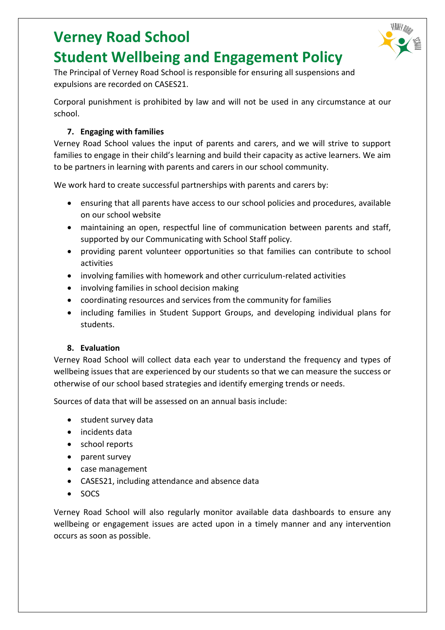

The Principal of Verney Road School is responsible for ensuring all suspensions and expulsions are recorded on CASES21.

Corporal punishment is prohibited by law and will not be used in any circumstance at our school.

#### **7. Engaging with families**

Verney Road School values the input of parents and carers, and we will strive to support families to engage in their child's learning and build their capacity as active learners. We aim to be partners in learning with parents and carers in our school community.

We work hard to create successful partnerships with parents and carers by:

- ensuring that all parents have access to our school policies and procedures, available on our school website
- maintaining an open, respectful line of communication between parents and staff, supported by our Communicating with School Staff policy.
- providing parent volunteer opportunities so that families can contribute to school activities
- involving families with homework and other curriculum-related activities
- involving families in school decision making
- coordinating resources and services from the community for families
- including families in Student Support Groups, and developing individual plans for students.

#### **8. Evaluation**

Verney Road School will collect data each year to understand the frequency and types of wellbeing issues that are experienced by our students so that we can measure the success or otherwise of our school based strategies and identify emerging trends or needs.

Sources of data that will be assessed on an annual basis include:

- student survey data
- incidents data
- school reports
- parent survey
- case management
- CASES21, including attendance and absence data
- SOCS

Verney Road School will also regularly monitor available data dashboards to ensure any wellbeing or engagement issues are acted upon in a timely manner and any intervention occurs as soon as possible.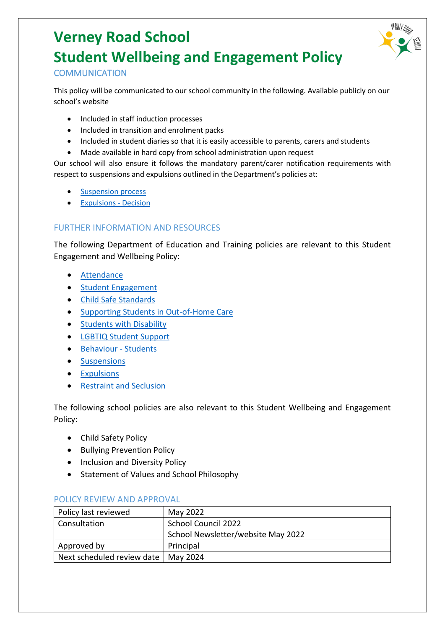

#### **COMMUNICATION**

This policy will be communicated to our school community in the following. Available publicly on our school's website

- Included in staff induction processes
- Included in transition and enrolment packs
- Included in student diaries so that it is easily accessible to parents, carers and students
- Made available in hard copy from school administration upon request

Our school will also ensure it follows the mandatory parent/carer notification requirements with respect to suspensions and expulsions outlined in the Department's policies at:

- [Suspension process](https://www2.education.vic.gov.au/pal/suspensions/guidance/1-suspension-process)
- [Expulsions -](https://www2.education.vic.gov.au/pal/expulsions/guidance/decision) Decision

#### FURTHER INFORMATION AND RESOURCES

The following Department of Education and Training policies are relevant to this Student Engagement and Wellbeing Policy:

- [Attendance](https://www2.education.vic.gov.au/pal/attendance/policy)
- [Student Engagement](https://www2.education.vic.gov.au/pal/student-engagement/policy)
- [Child Safe Standards](https://www2.education.vic.gov.au/pal/child-safe-standards/policy)
- [Supporting Students in Out-of-Home Care](https://www2.education.vic.gov.au/pal/supporting-students-out-home-care/policy)
- [Students with Disability](https://www2.education.vic.gov.au/pal/students-disability/policy)
- [LGBTIQ Student Support](https://www2.education.vic.gov.au/pal/lgbtiq-student-support/policy)
- [Behaviour -](https://www2.education.vic.gov.au/pal/behaviour-students/policy) Students
- [Suspensions](https://www2.education.vic.gov.au/pal/suspensions/policy)
- [Expulsions](https://www2.education.vic.gov.au/pal/expulsions/policy)
- [Restraint and Seclusion](https://www2.education.vic.gov.au/pal/restraint-seclusion/policy)

The following school policies are also relevant to this Student Wellbeing and Engagement Policy:

- Child Safety Policy
- Bullying Prevention Policy
- Inclusion and Diversity Policy
- Statement of Values and School Philosophy

| Policy last reviewed       | May 2022                           |
|----------------------------|------------------------------------|
| Consultation               | School Council 2022                |
|                            | School Newsletter/website May 2022 |
| Approved by                | Principal                          |
| Next scheduled review date | May 2024                           |

#### POLICY REVIEW AND APPROVAL